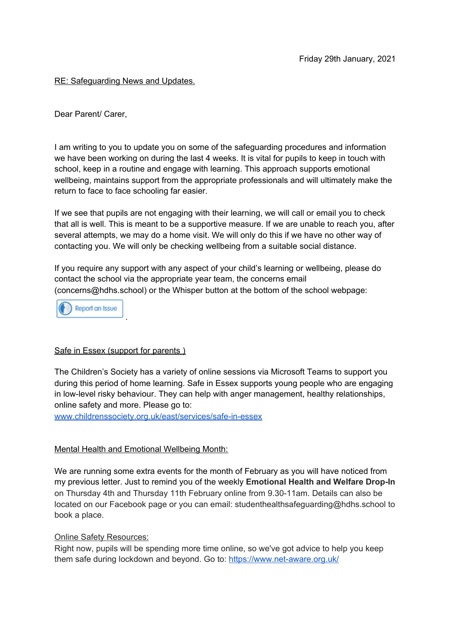## RE: Safeguarding News and Updates.

Dear Parent/ Carer,

I am writing to you to update you on some of the safeguarding procedures and information we have been working on during the last 4 weeks. It is vital for pupils to keep in touch with school, keep in a routine and engage with learning. This approach supports emotional wellbeing, maintains support from the appropriate professionals and will ultimately make the return to face to face schooling far easier.

If we see that pupils are not engaging with their learning, we will call or email you to check that all is well. This is meant to be a supportive measure. If we are unable to reach you, after several attempts, we may do a home visit. We will only do this if we have no other way of contacting you. We will only be checking wellbeing from a suitable social distance.

If you require any support with any aspect of your child's learning or wellbeing, please do contact the school via the appropriate year team, the concerns email (concerns@hdhs.school) or the Whisper button at the bottom of the school webpage:



## Safe in Essex (support for parents )

The Children's Society has a variety of online sessions via Microsoft Teams to support you during this period of home learning. Safe in Essex supports young people who are engaging in low-level risky behaviour. They can help with anger management, healthy relationships, online safety and more. Please go to:

[www.childrenssociety.org.uk/east/services/safe-in-essex](http://www.childrenssociety.org.uk/east/services/safe-in-essex)

## Mental Health and Emotional Wellbeing Month:

We are running some extra events for the month of February as you will have noticed from my previous letter. Just to remind you of the weekly **Emotional Health and Welfare Drop-In** on Thursday 4th and Thursday 11th February online from 9.30-11am. Details can also be located on our Facebook page or you can email: studenthealthsafeguarding@hdhs.school to book a place.

## **Online Safety Resources:**

Right now, pupils will be spending more time online, so we've got advice to help you keep them safe during lockdown and beyond. Go to: <https://www.net-aware.org.uk/>